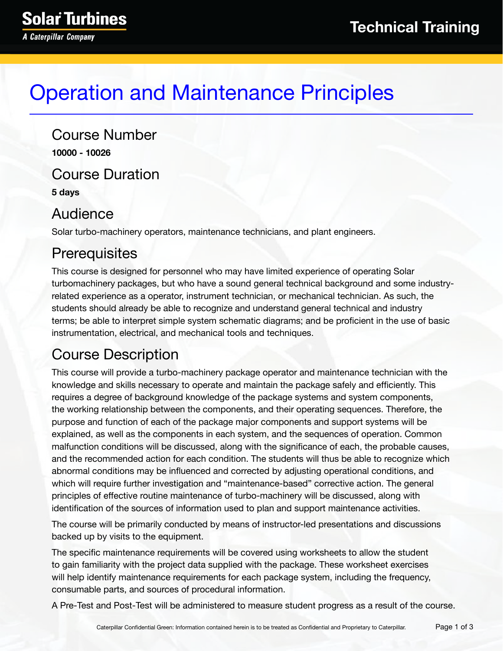# Operation and Maintenance Principles

Course Number **10000 - 10026** Course Duration **5 days**

#### Audience

Solar turbo-machinery operators, maintenance technicians, and plant engineers.

### **Prerequisites**

This course is designed for personnel who may have limited experience of operating Solar turbomachinery packages, but who have a sound general technical background and some industryrelated experience as a operator, instrument technician, or mechanical technician. As such, the students should already be able to recognize and understand general technical and industry terms; be able to interpret simple system schematic diagrams; and be proficient in the use of basic instrumentation, electrical, and mechanical tools and techniques.

### Course Description

This course will provide a turbo-machinery package operator and maintenance technician with the knowledge and skills necessary to operate and maintain the package safely and efficiently. This requires a degree of background knowledge of the package systems and system components, the working relationship between the components, and their operating sequences. Therefore, the purpose and function of each of the package major components and support systems will be explained, as well as the components in each system, and the sequences of operation. Common malfunction conditions will be discussed, along with the significance of each, the probable causes, and the recommended action for each condition. The students will thus be able to recognize which abnormal conditions may be influenced and corrected by adjusting operational conditions, and which will require further investigation and "maintenance-based" corrective action. The general principles of effective routine maintenance of turbo-machinery will be discussed, along with identification of the sources of information used to plan and support maintenance activities.

The course will be primarily conducted by means of instructor-led presentations and discussions backed up by visits to the equipment.

The specific maintenance requirements will be covered using worksheets to allow the student to gain familiarity with the project data supplied with the package. These worksheet exercises will help identify maintenance requirements for each package system, including the frequency, consumable parts, and sources of procedural information.

A Pre-Test and Post-Test will be administered to measure student progress as a result of the course.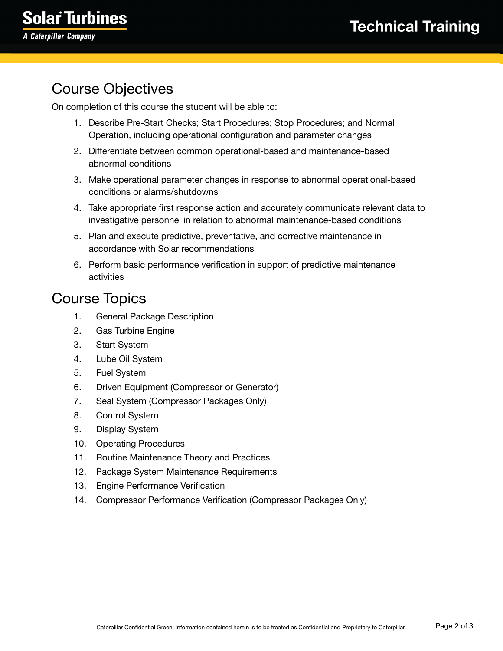## Course Objectives

On completion of this course the student will be able to:

- 1. Describe Pre-Start Checks; Start Procedures; Stop Procedures; and Normal Operation, including operational configuration and parameter changes
- 2. Differentiate between common operational-based and maintenance-based abnormal conditions
- 3. Make operational parameter changes in response to abnormal operational-based conditions or alarms/shutdowns
- 4. Take appropriate first response action and accurately communicate relevant data to investigative personnel in relation to abnormal maintenance-based conditions
- 5. Plan and execute predictive, preventative, and corrective maintenance in accordance with Solar recommendations
- 6. Perform basic performance verification in support of predictive maintenance activities

#### Course Topics

- 1. General Package Description
- 2. Gas Turbine Engine
- 3. Start System
- 4. Lube Oil System
- 5. Fuel System
- 6. Driven Equipment (Compressor or Generator)
- 7. Seal System (Compressor Packages Only)
- 8. Control System
- 9. Display System
- 10. Operating Procedures
- 11. Routine Maintenance Theory and Practices
- 12. Package System Maintenance Requirements
- 13. Engine Performance Verification
- 14. Compressor Performance Verification (Compressor Packages Only)